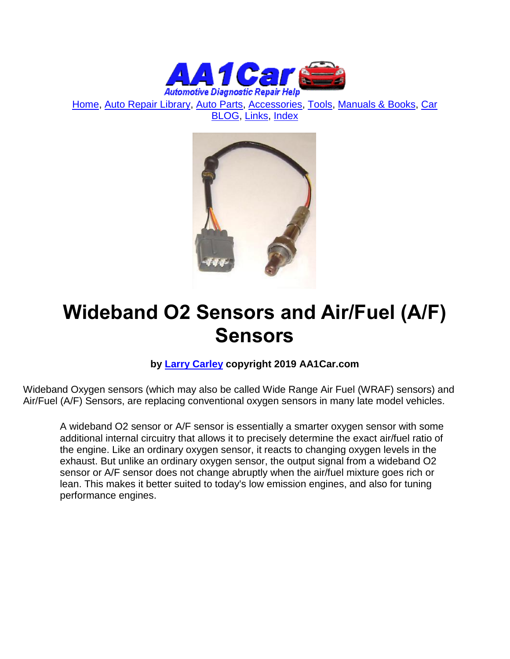

[Home,](http://www.aa1car.com/index.html) [Auto Repair Library,](http://www.aa1car.com/library.htm) [Auto Parts,](http://www.aa1car.com/links_parts.htm) [Accessories,](http://www.aa1car.com/links_accessories.htm) [Tools,](http://www.aa1car.com/links_tools.htm) [Manuals & Books,](http://www.aa1car.com/links_books.htm) [Car](http://www.aa1car.com/blog/blog.htm)  [BLOG,](http://www.aa1car.com/blog/blog.htm) [Links,](http://www.aa1car.com/links.htm) [Index](http://www.aa1car.com/index_alphabetical.htm)



# **Wideband O2 Sensors and Air/Fuel (A/F) Sensors**

#### **by [Larry Carley](https://www.aa1car.com/larrypage/larrycarley_photos.htm) copyright 2019 AA1Car.com**

Wideband Oxygen sensors (which may also be called Wide Range Air Fuel (WRAF) sensors) and Air/Fuel (A/F) Sensors, are replacing conventional oxygen sensors in many late model vehicles.

A wideband O2 sensor or A/F sensor is essentially a smarter oxygen sensor with some additional internal circuitry that allows it to precisely determine the exact air/fuel ratio of the engine. Like an ordinary oxygen sensor, it reacts to changing oxygen levels in the exhaust. But unlike an ordinary oxygen sensor, the output signal from a wideband O2 sensor or A/F sensor does not change abruptly when the air/fuel mixture goes rich or lean. This makes it better suited to today's low emission engines, and also for tuning performance engines.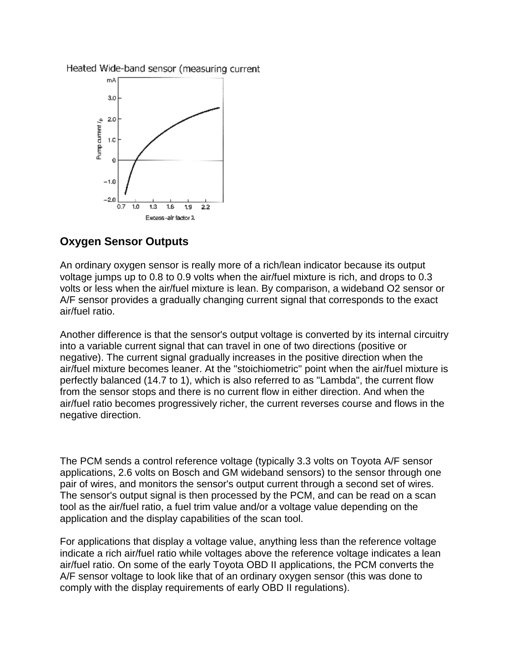Heated Wide-band sensor (measuring current



### **Oxygen Sensor Outputs**

An ordinary oxygen sensor is really more of a rich/lean indicator because its output voltage jumps up to 0.8 to 0.9 volts when the air/fuel mixture is rich, and drops to 0.3 volts or less when the air/fuel mixture is lean. By comparison, a wideband O2 sensor or A/F sensor provides a gradually changing current signal that corresponds to the exact air/fuel ratio.

Another difference is that the sensor's output voltage is converted by its internal circuitry into a variable current signal that can travel in one of two directions (positive or negative). The current signal gradually increases in the positive direction when the air/fuel mixture becomes leaner. At the "stoichiometric" point when the air/fuel mixture is perfectly balanced (14.7 to 1), which is also referred to as "Lambda", the current flow from the sensor stops and there is no current flow in either direction. And when the air/fuel ratio becomes progressively richer, the current reverses course and flows in the negative direction.

The PCM sends a control reference voltage (typically 3.3 volts on Toyota A/F sensor applications, 2.6 volts on Bosch and GM wideband sensors) to the sensor through one pair of wires, and monitors the sensor's output current through a second set of wires. The sensor's output signal is then processed by the PCM, and can be read on a scan tool as the air/fuel ratio, a fuel trim value and/or a voltage value depending on the application and the display capabilities of the scan tool.

For applications that display a voltage value, anything less than the reference voltage indicate a rich air/fuel ratio while voltages above the reference voltage indicates a lean air/fuel ratio. On some of the early Toyota OBD II applications, the PCM converts the A/F sensor voltage to look like that of an ordinary oxygen sensor (this was done to comply with the display requirements of early OBD II regulations).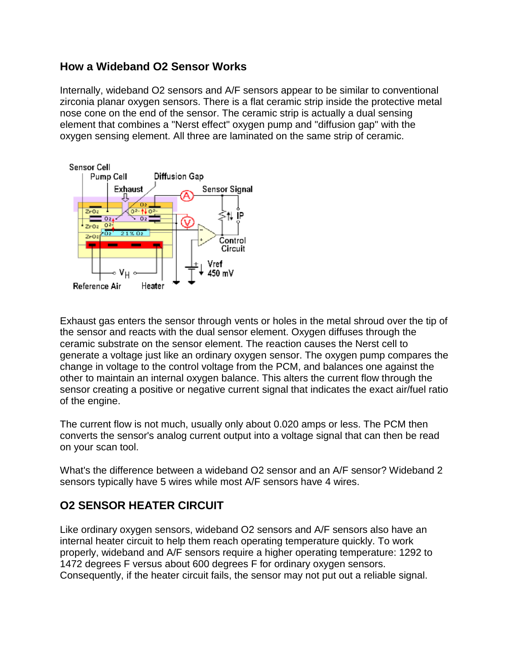#### **How a Wideband O2 Sensor Works**

Internally, wideband O2 sensors and A/F sensors appear to be similar to conventional zirconia planar oxygen sensors. There is a flat ceramic strip inside the protective metal nose cone on the end of the sensor. The ceramic strip is actually a dual sensing element that combines a "Nerst effect" oxygen pump and "diffusion gap" with the oxygen sensing element. All three are laminated on the same strip of ceramic.



Exhaust gas enters the sensor through vents or holes in the metal shroud over the tip of the sensor and reacts with the dual sensor element. Oxygen diffuses through the ceramic substrate on the sensor element. The reaction causes the Nerst cell to generate a voltage just like an ordinary oxygen sensor. The oxygen pump compares the change in voltage to the control voltage from the PCM, and balances one against the other to maintain an internal oxygen balance. This alters the current flow through the sensor creating a positive or negative current signal that indicates the exact air/fuel ratio of the engine.

The current flow is not much, usually only about 0.020 amps or less. The PCM then converts the sensor's analog current output into a voltage signal that can then be read on your scan tool.

What's the difference between a wideband O2 sensor and an A/F sensor? Wideband 2 sensors typically have 5 wires while most A/F sensors have 4 wires.

## **O2 SENSOR HEATER CIRCUIT**

Like ordinary oxygen sensors, wideband O2 sensors and A/F sensors also have an internal heater circuit to help them reach operating temperature quickly. To work properly, wideband and A/F sensors require a higher operating temperature: 1292 to 1472 degrees F versus about 600 degrees F for ordinary oxygen sensors. Consequently, if the heater circuit fails, the sensor may not put out a reliable signal.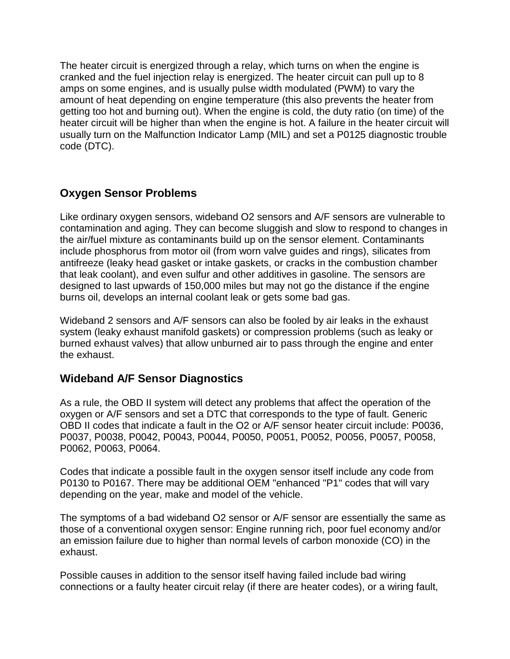The heater circuit is energized through a relay, which turns on when the engine is cranked and the fuel injection relay is energized. The heater circuit can pull up to 8 amps on some engines, and is usually pulse width modulated (PWM) to vary the amount of heat depending on engine temperature (this also prevents the heater from getting too hot and burning out). When the engine is cold, the duty ratio (on time) of the heater circuit will be higher than when the engine is hot. A failure in the heater circuit will usually turn on the Malfunction Indicator Lamp (MIL) and set a P0125 diagnostic trouble code (DTC).

## **Oxygen Sensor Problems**

Like ordinary oxygen sensors, wideband O2 sensors and A/F sensors are vulnerable to contamination and aging. They can become sluggish and slow to respond to changes in the air/fuel mixture as contaminants build up on the sensor element. Contaminants include phosphorus from motor oil (from worn valve guides and rings), silicates from antifreeze (leaky head gasket or intake gaskets, or cracks in the combustion chamber that leak coolant), and even sulfur and other additives in gasoline. The sensors are designed to last upwards of 150,000 miles but may not go the distance if the engine burns oil, develops an internal coolant leak or gets some bad gas.

Wideband 2 sensors and A/F sensors can also be fooled by air leaks in the exhaust system (leaky exhaust manifold gaskets) or compression problems (such as leaky or burned exhaust valves) that allow unburned air to pass through the engine and enter the exhaust.

## **Wideband A/F Sensor Diagnostics**

As a rule, the OBD II system will detect any problems that affect the operation of the oxygen or A/F sensors and set a DTC that corresponds to the type of fault. Generic OBD II codes that indicate a fault in the O2 or A/F sensor heater circuit include: P0036, P0037, P0038, P0042, P0043, P0044, P0050, P0051, P0052, P0056, P0057, P0058, P0062, P0063, P0064.

Codes that indicate a possible fault in the oxygen sensor itself include any code from P0130 to P0167. There may be additional OEM "enhanced "P1" codes that will vary depending on the year, make and model of the vehicle.

The symptoms of a bad wideband O2 sensor or A/F sensor are essentially the same as those of a conventional oxygen sensor: Engine running rich, poor fuel economy and/or an emission failure due to higher than normal levels of carbon monoxide (CO) in the exhaust.

Possible causes in addition to the sensor itself having failed include bad wiring connections or a faulty heater circuit relay (if there are heater codes), or a wiring fault,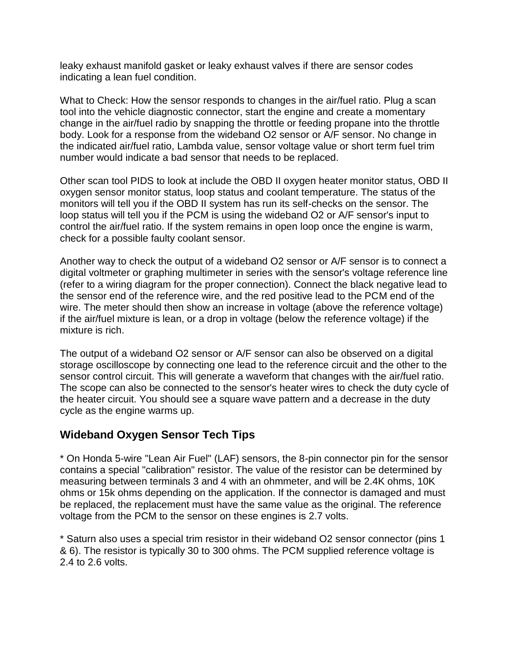leaky exhaust manifold gasket or leaky exhaust valves if there are sensor codes indicating a lean fuel condition.

What to Check: How the sensor responds to changes in the air/fuel ratio. Plug a scan tool into the vehicle diagnostic connector, start the engine and create a momentary change in the air/fuel radio by snapping the throttle or feeding propane into the throttle body. Look for a response from the wideband O2 sensor or A/F sensor. No change in the indicated air/fuel ratio, Lambda value, sensor voltage value or short term fuel trim number would indicate a bad sensor that needs to be replaced.

Other scan tool PIDS to look at include the OBD II oxygen heater monitor status, OBD II oxygen sensor monitor status, loop status and coolant temperature. The status of the monitors will tell you if the OBD II system has run its self-checks on the sensor. The loop status will tell you if the PCM is using the wideband O2 or A/F sensor's input to control the air/fuel ratio. If the system remains in open loop once the engine is warm, check for a possible faulty coolant sensor.

Another way to check the output of a wideband O2 sensor or A/F sensor is to connect a digital voltmeter or graphing multimeter in series with the sensor's voltage reference line (refer to a wiring diagram for the proper connection). Connect the black negative lead to the sensor end of the reference wire, and the red positive lead to the PCM end of the wire. The meter should then show an increase in voltage (above the reference voltage) if the air/fuel mixture is lean, or a drop in voltage (below the reference voltage) if the mixture is rich.

The output of a wideband O2 sensor or A/F sensor can also be observed on a digital storage oscilloscope by connecting one lead to the reference circuit and the other to the sensor control circuit. This will generate a waveform that changes with the air/fuel ratio. The scope can also be connected to the sensor's heater wires to check the duty cycle of the heater circuit. You should see a square wave pattern and a decrease in the duty cycle as the engine warms up.

#### **Wideband Oxygen Sensor Tech Tips**

\* On Honda 5-wire "Lean Air Fuel" (LAF) sensors, the 8-pin connector pin for the sensor contains a special "calibration" resistor. The value of the resistor can be determined by measuring between terminals 3 and 4 with an ohmmeter, and will be 2.4K ohms, 10K ohms or 15k ohms depending on the application. If the connector is damaged and must be replaced, the replacement must have the same value as the original. The reference voltage from the PCM to the sensor on these engines is 2.7 volts.

\* Saturn also uses a special trim resistor in their wideband O2 sensor connector (pins 1 & 6). The resistor is typically 30 to 300 ohms. The PCM supplied reference voltage is 2.4 to 2.6 volts.